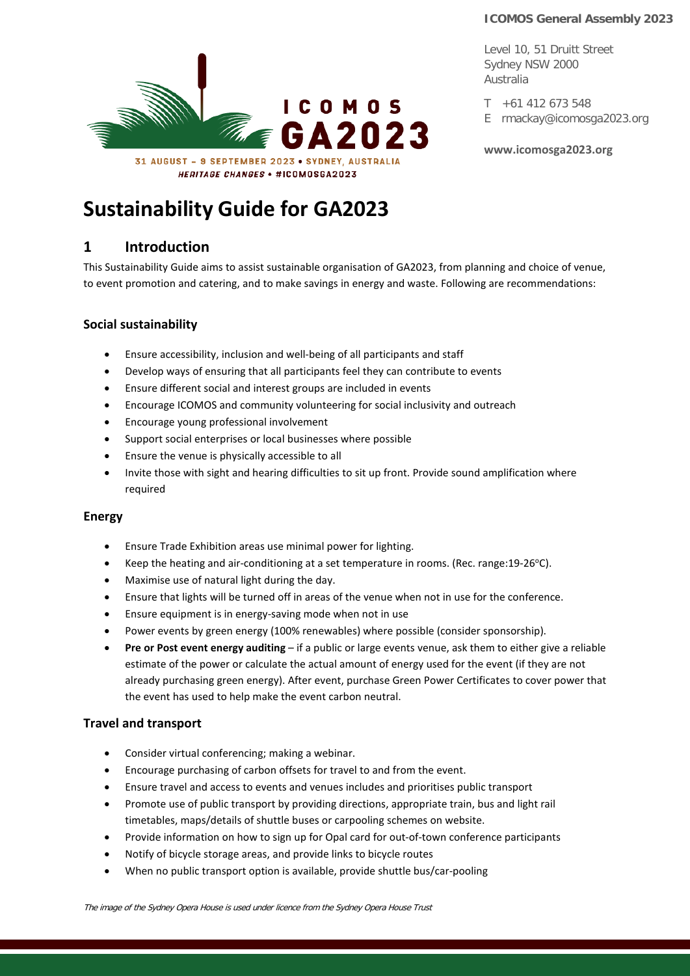Level 10, 51 Druitt Street Sydney NSW 2000 Australia

 $T + 61412673548$ E rmackay@icomosga2023.org

**[www.icomosga2023.org](http://www.icomosga2023.org/)**



# **Sustainability Guide for GA2023**

# **1 Introduction**

This Sustainability Guide aims to assist sustainable organisation of GA2023, from planning and choice of venue, to event promotion and catering, and to make savings in energy and waste. Following are recommendations:

# **Social sustainability**

- Ensure accessibility, inclusion and well-being of all participants and staff
- Develop ways of ensuring that all participants feel they can contribute to events
- Ensure different social and interest groups are included in events
- Encourage ICOMOS and community volunteering for social inclusivity and outreach
- Encourage young professional involvement
- Support social enterprises or local businesses where possible
- Ensure the venue is physically accessible to all
- Invite those with sight and hearing difficulties to sit up front. Provide sound amplification where required

## **Energy**

- Ensure Trade Exhibition areas use minimal power for lighting.
- Keep the heating and air-conditioning at a set temperature in rooms. (Rec. range:19-26 $^{\circ}$ C).
- Maximise use of natural light during the day.
- Ensure that lights will be turned off in areas of the venue when not in use for the conference.
- Ensure equipment is in energy-saving mode when not in use
- Power events by green energy (100% renewables) where possible (consider sponsorship).
- **Pre or Post event energy auditing** if a public or large events venue, ask them to either give a reliable estimate of the power or calculate the actual amount of energy used for the event (if they are not already purchasing green energy). After event, purchase Green Power Certificates to cover power that the event has used to help make the event carbon neutral.

## **Travel and transport**

- Consider virtual conferencing; making a webinar.
- Encourage purchasing of carbon offsets for travel to and from the event.
- Ensure travel and access to events and venues includes and prioritises public transport
- Promote use of public transport by providing directions, appropriate train, bus and light rail timetables, maps/details of shuttle buses or carpooling schemes on website.
- Provide information on how to sign up for Opal card for out-of-town conference participants
- Notify of bicycle storage areas, and provide links to bicycle routes
- When no public transport option is available, provide shuttle bus/car-pooling

The image of the Sydney Opera House is used under licence from the Sydney Opera House Trust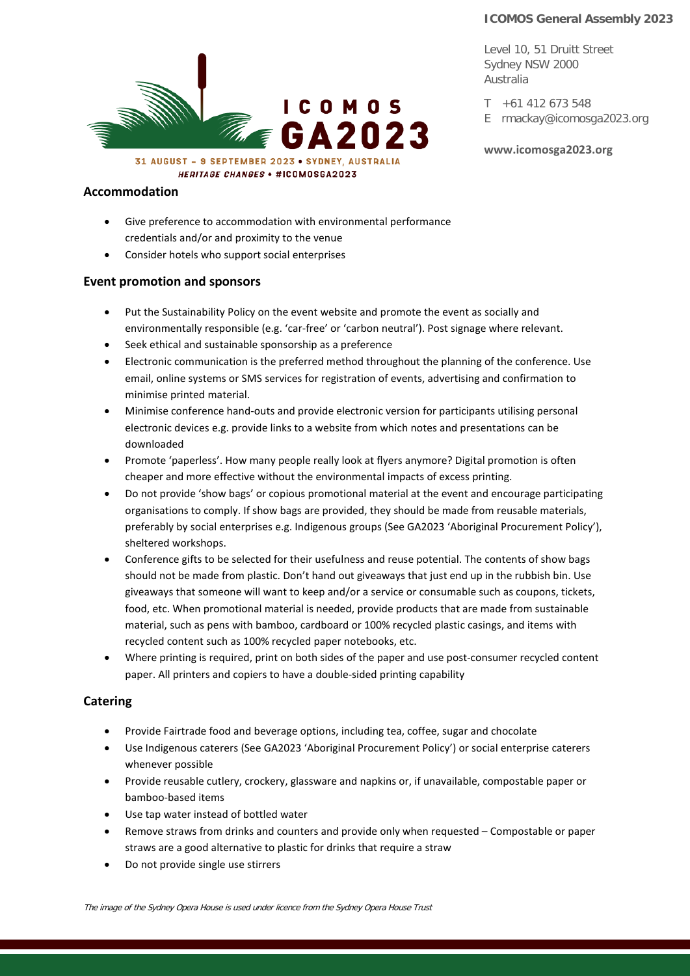Level 10, 51 Druitt Street Sydney NSW 2000 Australia

T +61 412 673 548 E rmackay@icomosga2023.org

**[www.icomosga2023.org](http://www.icomosga2023.org/)**



#### **Accommodation**

- Give preference to accommodation with environmental performance credentials and/or and proximity to the venue
- Consider hotels who support social enterprises

#### **Event promotion and sponsors**

- Put the Sustainability Policy on the event website and promote the event as socially and environmentally responsible (e.g. 'car-free' or 'carbon neutral'). Post signage where relevant.
- Seek ethical and sustainable sponsorship as a preference
- Electronic communication is the preferred method throughout the planning of the conference. Use email, online systems or SMS services for registration of events, advertising and confirmation to minimise printed material.
- Minimise conference hand-outs and provide electronic version for participants utilising personal electronic devices e.g. provide links to a website from which notes and presentations can be downloaded
- Promote 'paperless'. How many people really look at flyers anymore? Digital promotion is often cheaper and more effective without the environmental impacts of excess printing.
- Do not provide 'show bags' or copious promotional material at the event and encourage participating organisations to comply. If show bags are provided, they should be made from reusable materials, preferably by social enterprises e.g. Indigenous groups (See GA2023 'Aboriginal Procurement Policy'), sheltered workshops.
- Conference gifts to be selected for their usefulness and reuse potential. The contents of show bags should not be made from plastic. Don't hand out giveaways that just end up in the rubbish bin. Use giveaways that someone will want to keep and/or a service or consumable such as coupons, tickets, food, etc. When promotional material is needed, provide products that are made from sustainable material, such as pens with bamboo, cardboard or 100% recycled plastic casings, and items with recycled content such as 100% recycled paper notebooks, etc.
- Where printing is required, print on both sides of the paper and use post-consumer recycled content paper. All printers and copiers to have a double-sided printing capability

#### **Catering**

- Provide Fairtrade food and beverage options, including tea, coffee, sugar and chocolate
- Use Indigenous caterers (See GA2023 'Aboriginal Procurement Policy') or social enterprise caterers whenever possible
- Provide reusable cutlery, crockery, glassware and napkins or, if unavailable, compostable paper or bamboo-based items
- Use tap water instead of bottled water
- Remove straws from drinks and counters and provide only when requested Compostable or paper straws are a good alternative to plastic for drinks that require a straw
- Do not provide single use stirrers

The image of the Sydney Opera House is used under licence from the Sydney Opera House Trust